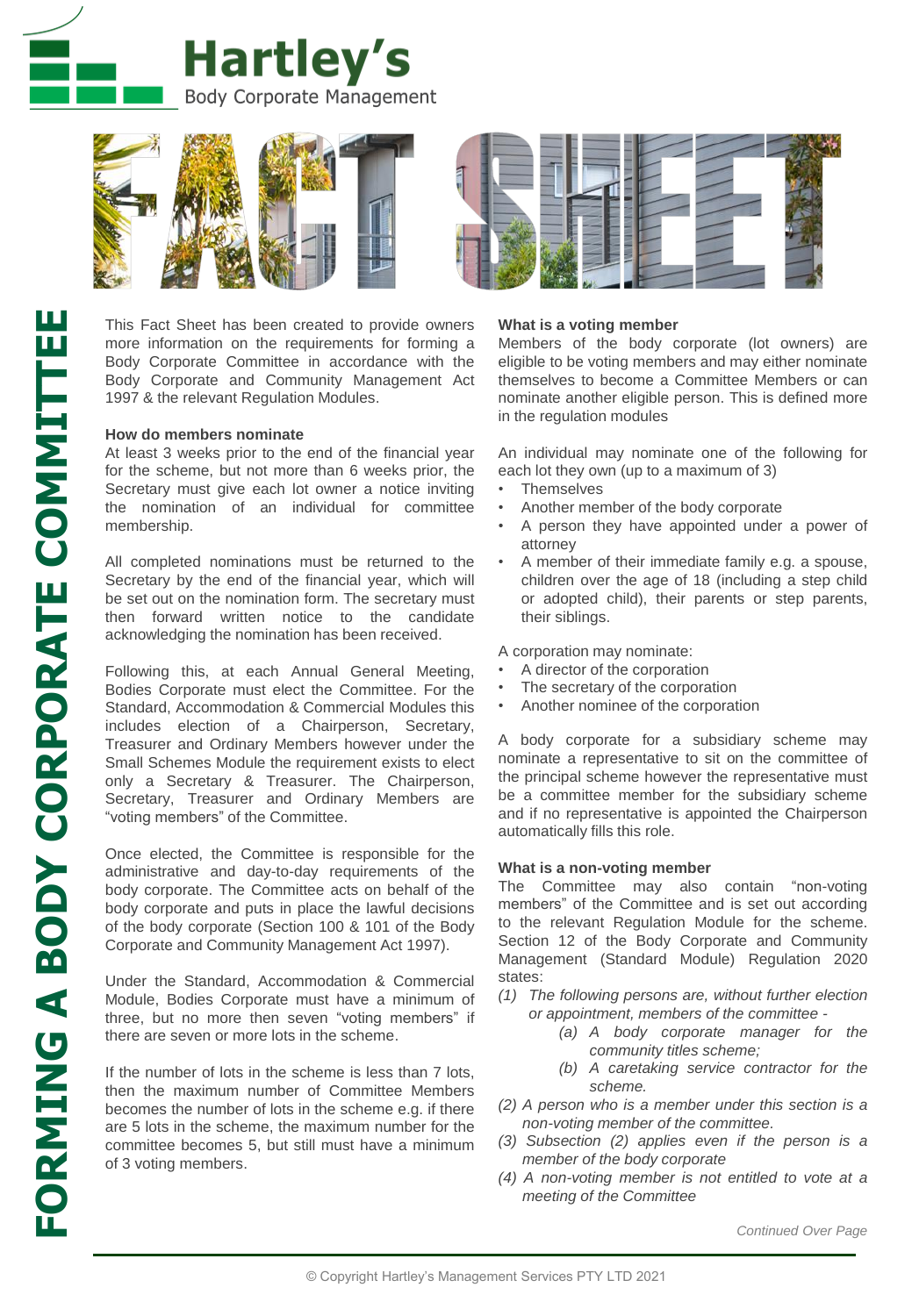



This Fact Sheet has been created to provide owners more information on the requirements for forming a Body Corporate Committee in accordance with the Body Corporate and Community Management Act 1997 & the relevant Regulation Modules.

### **How do members nominate**

At least 3 weeks prior to the end of the financial year for the scheme, but not more than 6 weeks prior, the Secretary must give each lot owner a notice inviting the nomination of an individual for committee membership.

All completed nominations must be returned to the Secretary by the end of the financial year, which will be set out on the nomination form. The secretary must then forward written notice to the candidate acknowledging the nomination has been received.

Following this, at each Annual General Meeting, Bodies Corporate must elect the Committee. For the Standard, Accommodation & Commercial Modules this includes election of a Chairperson, Secretary, Treasurer and Ordinary Members however under the Small Schemes Module the requirement exists to elect only a Secretary & Treasurer. The Chairperson, Secretary, Treasurer and Ordinary Members are "voting members" of the Committee.

Once elected, the Committee is responsible for the administrative and day-to-day requirements of the body corporate. The Committee acts on behalf of the body corporate and puts in place the lawful decisions of the body corporate (Section 100 & 101 of the Body Corporate and Community Management Act 1997).

Under the Standard, Accommodation & Commercial Module, Bodies Corporate must have a minimum of three, but no more then seven "voting members" if there are seven or more lots in the scheme.

If the number of lots in the scheme is less than 7 lots, then the maximum number of Committee Members becomes the number of lots in the scheme e.g. if there are 5 lots in the scheme, the maximum number for the committee becomes 5, but still must have a minimum of 3 voting members.



## **What is a voting member**

Members of the body corporate (lot owners) are eligible to be voting members and may either nominate themselves to become a Committee Members or can nominate another eligible person. This is defined more in the regulation modules

An individual may nominate one of the following for each lot they own (up to a maximum of 3)

- **Themselves**
- Another member of the body corporate
- A person they have appointed under a power of attorney
- A member of their immediate family e.g. a spouse, children over the age of 18 (including a step child or adopted child), their parents or step parents, their siblings.

A corporation may nominate:

- A director of the corporation
- The secretary of the corporation
- Another nominee of the corporation

A body corporate for a subsidiary scheme may nominate a representative to sit on the committee of the principal scheme however the representative must be a committee member for the subsidiary scheme and if no representative is appointed the Chairperson automatically fills this role.

#### **What is a non-voting member**

The Committee may also contain "non-voting members" of the Committee and is set out according to the relevant Regulation Module for the scheme. Section 12 of the Body Corporate and Community Management (Standard Module) Regulation 2020 states:

- *(1) The following persons are, without further election or appointment, members of the committee -*
	- *(a) A body corporate manager for the community titles scheme;*
	- *(b) A caretaking service contractor for the scheme.*
- *(2) A person who is a member under this section is a non-voting member of the committee.*
- *(3) Subsection (2) applies even if the person is a member of the body corporate*
- *(4) A non-voting member is not entitled to vote at a meeting of the Committee*